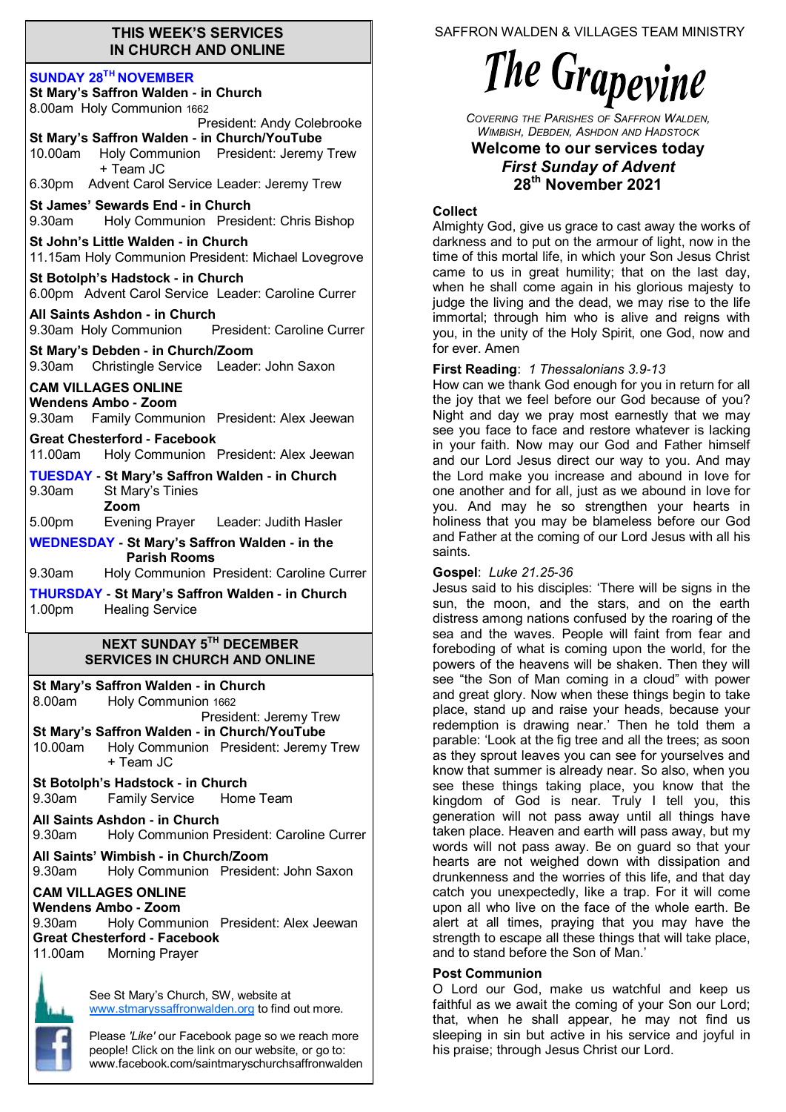#### **THIS WEEK'S SERVICES IN CHURCH AND ONLINE**

#### **SUNDAY 28TH NOVEMBER**

| 8.00am Holy Communion 1662                                                                                    |  |  |  |
|---------------------------------------------------------------------------------------------------------------|--|--|--|
| President: Andy Colebrooke                                                                                    |  |  |  |
| St Mary's Saffron Walden - in Church/YouTube                                                                  |  |  |  |
| Holy Communion President: Jeremy Trew<br>10.00am<br>+ Team JC                                                 |  |  |  |
| 6.30pm Advent Carol Service Leader: Jeremy Trew                                                               |  |  |  |
| St James' Sewards End - in Church<br>Holy Communion President: Chris Bishop<br>9.30am                         |  |  |  |
| St John's Little Walden - in Church<br>11.15am Holy Communion President: Michael Lovegrove                    |  |  |  |
| St Botolph's Hadstock - in Church<br>6.00pm Advent Carol Service Leader: Caroline Currer                      |  |  |  |
| All Saints Ashdon - in Church<br>9.30am Holy Communion<br>President: Caroline Currer                          |  |  |  |
| St Mary's Debden - in Church/Zoom<br>9.30am Christingle Service Leader: John Saxon                            |  |  |  |
| <b>CAM VILLAGES ONLINE</b>                                                                                    |  |  |  |
| <b>Wendens Ambo - Zoom</b><br>9.30am Family Communion President: Alex Jeewan                                  |  |  |  |
| <b>Great Chesterford - Facebook</b>                                                                           |  |  |  |
| 11.00am<br>Holy Communion President: Alex Jeewan                                                              |  |  |  |
| <b>TUESDAY - St Mary's Saffron Walden - in Church</b>                                                         |  |  |  |
| 9.30am<br>St Mary's Tinies<br>Zoom                                                                            |  |  |  |
| Evening Prayer Leader: Judith Hasler<br>5.00pm                                                                |  |  |  |
| <b>WEDNESDAY - St Mary's Saffron Walden - in the</b><br><b>Parish Rooms</b>                                   |  |  |  |
|                                                                                                               |  |  |  |
| $9.30$ am<br>Holy Communion President: Caroline Currer                                                        |  |  |  |
| <b>THURSDAY - St Mary's Saffron Walden - in Church</b><br><b>Healing Service</b><br>1.00pm                    |  |  |  |
| NEXT SUNDAY 5 <sup>th</sup> DECEMBER<br><b>SERVICES IN CHURCH AND ONLINE</b>                                  |  |  |  |
| St Mary's Saffron Walden - in Church                                                                          |  |  |  |
| 8.00am<br>Holy Communion 1662                                                                                 |  |  |  |
| President: Jeremy Trew                                                                                        |  |  |  |
| St Mary's Saffron Walden - in Church/YouTube<br>10.00am<br>Holy Communion President: Jeremy Trew<br>+ Team JC |  |  |  |
| St Botolph's Hadstock - in Church<br>Family Service Home Team<br>9.30am                                       |  |  |  |
| All Saints Ashdon - in Church                                                                                 |  |  |  |
| Holy Communion President: Caroline Currer<br>9.30am                                                           |  |  |  |
| All Saints' Wimbish - in Church/Zoom<br>9.30am<br>Holy Communion President: John Saxon                        |  |  |  |
| <b>CAM VILLAGES ONLINE</b>                                                                                    |  |  |  |
| Wendens Ambo - Zoom                                                                                           |  |  |  |
| Holy Communion President: Alex Jeewan<br>9.30am                                                               |  |  |  |
| <b>Great Chesterford - Facebook</b><br>Morning Prayer<br>11.00am                                              |  |  |  |
|                                                                                                               |  |  |  |

Please *'Like'* our Facebook page so we reach more people! Click on the link on our website, or go to: www.facebook.com/saintmaryschurchsaffronwalden SAFFRON WALDEN & VILLAGES TEAM MINISTRY

# The Grapevine

*COVERING THE PARISHES OF SAFFRON WALDEN, WIMBISH, DEBDEN, ASHDON AND HADSTOCK*

#### **Welcome to our services today**  *First Sunday of Advent* **28th November 2021**

# **Collect**

Almighty God, give us grace to cast away the works of darkness and to put on the armour of light, now in the time of this mortal life, in which your Son Jesus Christ came to us in great humility; that on the last day, when he shall come again in his glorious majesty to judge the living and the dead, we may rise to the life immortal; through him who is alive and reigns with you, in the unity of the Holy Spirit, one God, now and for ever. Amen

# **First Reading**: *1 Thessalonians 3.9-13*

How can we thank God enough for you in return for all the joy that we feel before our God because of you? Night and day we pray most earnestly that we may see you face to face and restore whatever is lacking in your faith. Now may our God and Father himself and our Lord Jesus direct our way to you. And may the Lord make you increase and abound in love for one another and for all, just as we abound in love for you. And may he so strengthen your hearts in holiness that you may be blameless before our God and Father at the coming of our Lord Jesus with all his saints.

# **Gospel**: *Luke 21.25-36*

Jesus said to his disciples: 'There will be signs in the sun, the moon, and the stars, and on the earth distress among nations confused by the roaring of the sea and the waves. People will faint from fear and foreboding of what is coming upon the world, for the powers of the heavens will be shaken. Then they will see "the Son of Man coming in a cloud" with power and great glory. Now when these things begin to take place, stand up and raise your heads, because your redemption is drawing near.' Then he told them a parable: 'Look at the fig tree and all the trees; as soon as they sprout leaves you can see for yourselves and know that summer is already near. So also, when you see these things taking place, you know that the kingdom of God is near. Truly I tell you, this generation will not pass away until all things have taken place. Heaven and earth will pass away, but my words will not pass away. Be on guard so that your hearts are not weighed down with dissipation and drunkenness and the worries of this life, and that day catch you unexpectedly, like a trap. For it will come upon all who live on the face of the whole earth. Be alert at all times, praying that you may have the strength to escape all these things that will take place, and to stand before the Son of Man.'

# **Post Communion**

O Lord our God, make us watchful and keep us faithful as we await the coming of your Son our Lord; that, when he shall appear, he may not find us sleeping in sin but active in his service and joyful in his praise; through Jesus Christ our Lord.